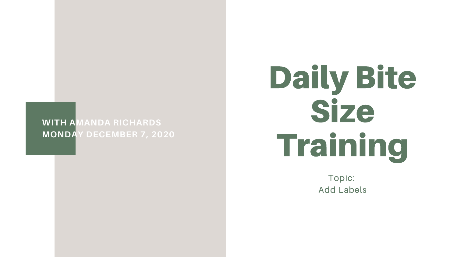### **WITH AMANDA RICHARDS MONDAY DECEMBER 7, 2020**

# Daily Bite Size Training

Topic: **Add Labels**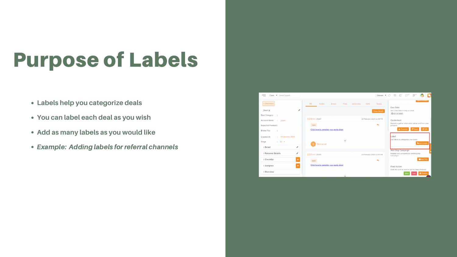## Purpose of Labels

- **Labels help you categorize deals**
- **You can label each deal as you wish**
- **Add as many labels as you would like**
- Example: Adding labels for referral channels



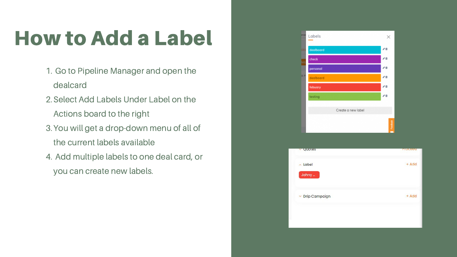## How to Add a Label

- 1. Go to Pipeline Manager and open the dealcard
- 2. Select Add Labels Under Label on the Actions board to the right
- 3. You will get a drop-down menu of all of the current labels available
- 4. Add multiple labels to one deal card, or you can create new labels.

| arwe  | Labels             |                         |
|-------|--------------------|-------------------------|
| sks   | dealboard          | 曲<br>a.                 |
| letio | check              | m                       |
|       | personal           | 名前                      |
| 8 P   | dealboard          | 才自                      |
|       | febuary            | j.<br>曲                 |
|       | testing            |                         |
|       |                    |                         |
|       | Create a new label |                         |
|       |                    |                         |
|       |                    | Freebast<br><b>Tara</b> |

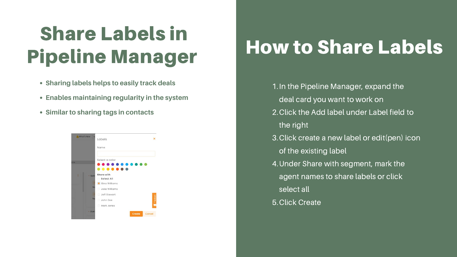## How to Share Labels

- 1. In the Pipeline Manager, expand the deal card you want to work on 2. Click the Add label under Label field to the right 3. Click create a new label or edit(pen) icon of the existing label Under Share with segment, mark the 4. agent names to share labels or click
	- select all
- 5. Click Create
- 
- 
- 

## Share Labels in Pipeline Manager

- **Sharing labels helps to easily track deals**
- **Enables maintaining regularity in the system**
- **Similar to sharing tags in contacts**

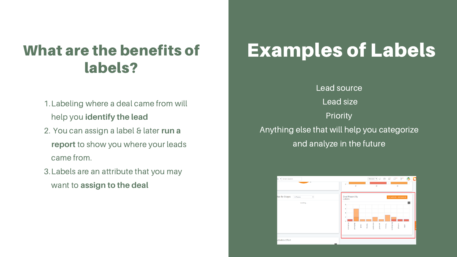- 1. Labeling where a deal came from will help you **identify the lead**
- 2. You can assign a label & later run a **report** to show you where your leads came from.
- Labels are an attribute that you may 3. want to **assign to the deal**



### What are the benefits of labels?

## Examples of Labels

Lead source Lead size **Priority** Anything else that will help you categorize and analyze in the future